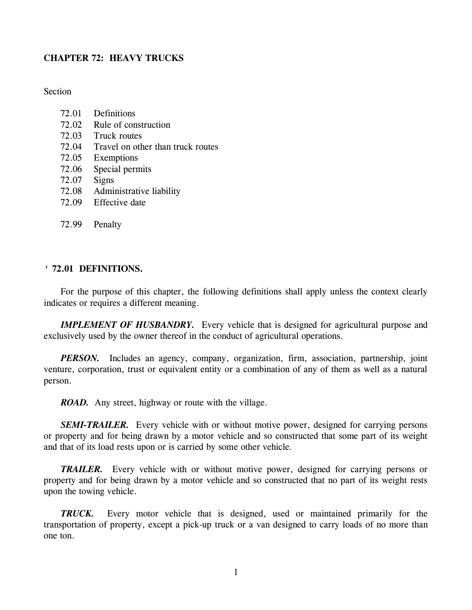# **CHAPTER 72: HEAVY TRUCKS**

Section

- 72.02 Rule of construction
- 72.03 Truck routes
- 72.04 Travel on other than truck routes
- 72.05 Exemptions
- 72.06 Special permits
- 72.07 Signs
- 72.08 Administrative liability
- 72.09 Effective date
- 72.99 Penalty

# **' 72.01 DEFINITIONS.**

For the purpose of this chapter, the following definitions shall apply unless the context clearly indicates or requires a different meaning.

**IMPLEMENT OF HUSBANDRY.** Every vehicle that is designed for agricultural purpose and exclusively used by the owner thereof in the conduct of agricultural operations.

*PERSON*. Includes an agency, company, organization, firm, association, partnership, joint venture, corporation, trust or equivalent entity or a combination of any of them as well as a natural person.

*ROAD.* Any street, highway or route with the village.

*SEMI-TRAILER.* Every vehicle with or without motive power, designed for carrying persons or property and for being drawn by a motor vehicle and so constructed that some part of its weight and that of its load rests upon or is carried by some other vehicle.

*TRAILER.* Every vehicle with or without motive power, designed for carrying persons or property and for being drawn by a motor vehicle and so constructed that no part of its weight rests upon the towing vehicle.

*TRUCK.* Every motor vehicle that is designed, used or maintained primarily for the transportation of property, except a pick-up truck or a van designed to carry loads of no more than one ton.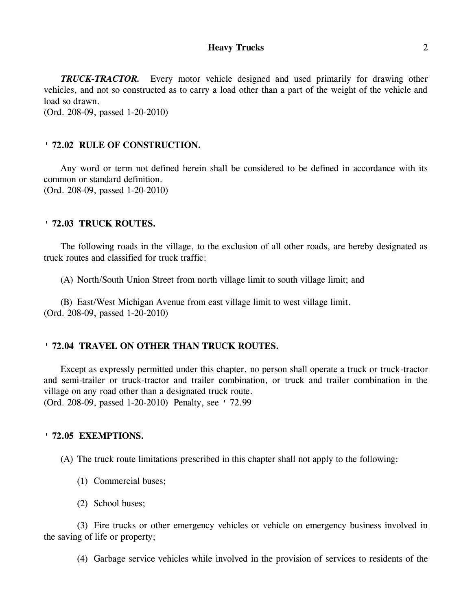*TRUCK-TRACTOR.* Every motor vehicle designed and used primarily for drawing other vehicles, and not so constructed as to carry a load other than a part of the weight of the vehicle and load so drawn. (Ord. 208-09, passed 1-20-2010)

# **' 72.02 RULE OF CONSTRUCTION.**

Any word or term not defined herein shall be considered to be defined in accordance with its common or standard definition. (Ord. 208-09, passed 1-20-2010)

## **' 72.03 TRUCK ROUTES.**

The following roads in the village, to the exclusion of all other roads, are hereby designated as truck routes and classified for truck traffic:

(A) North/South Union Street from north village limit to south village limit; and

(B) East/West Michigan Avenue from east village limit to west village limit. (Ord. 208-09, passed 1-20-2010)

# **' 72.04 TRAVEL ON OTHER THAN TRUCK ROUTES.**

Except as expressly permitted under this chapter, no person shall operate a truck or truck-tractor and semi-trailer or truck-tractor and trailer combination, or truck and trailer combination in the village on any road other than a designated truck route. (Ord. 208-09, passed 1-20-2010) Penalty, see ' 72.99

## **' 72.05 EXEMPTIONS.**

(A) The truck route limitations prescribed in this chapter shall not apply to the following:

- (1) Commercial buses;
- (2) School buses;

(3) Fire trucks or other emergency vehicles or vehicle on emergency business involved in the saving of life or property;

(4) Garbage service vehicles while involved in the provision of services to residents of the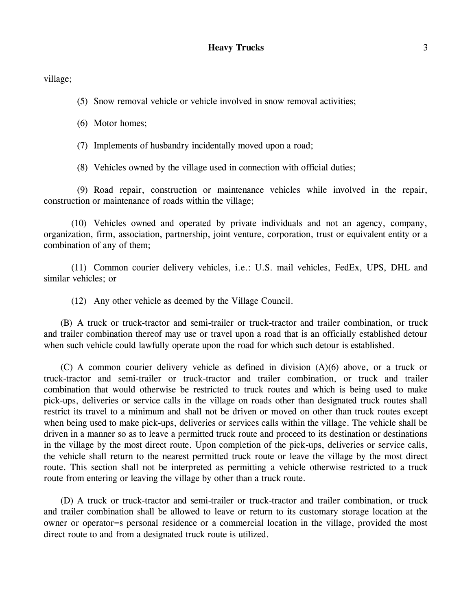village;

(5) Snow removal vehicle or vehicle involved in snow removal activities;

(6) Motor homes;

(7) Implements of husbandry incidentally moved upon a road;

(8) Vehicles owned by the village used in connection with official duties;

(9) Road repair, construction or maintenance vehicles while involved in the repair, construction or maintenance of roads within the village;

(10) Vehicles owned and operated by private individuals and not an agency, company, organization, firm, association, partnership, joint venture, corporation, trust or equivalent entity or a combination of any of them;

(11) Common courier delivery vehicles, i.e.: U.S. mail vehicles, FedEx, UPS, DHL and similar vehicles; or

(12) Any other vehicle as deemed by the Village Council.

(B) A truck or truck-tractor and semi-trailer or truck-tractor and trailer combination, or truck and trailer combination thereof may use or travel upon a road that is an officially established detour when such vehicle could lawfully operate upon the road for which such detour is established.

(C) A common courier delivery vehicle as defined in division (A)(6) above, or a truck or truck-tractor and semi-trailer or truck-tractor and trailer combination, or truck and trailer combination that would otherwise be restricted to truck routes and which is being used to make pick-ups, deliveries or service calls in the village on roads other than designated truck routes shall restrict its travel to a minimum and shall not be driven or moved on other than truck routes except when being used to make pick-ups, deliveries or services calls within the village. The vehicle shall be driven in a manner so as to leave a permitted truck route and proceed to its destination or destinations in the village by the most direct route. Upon completion of the pick-ups, deliveries or service calls, the vehicle shall return to the nearest permitted truck route or leave the village by the most direct route. This section shall not be interpreted as permitting a vehicle otherwise restricted to a truck route from entering or leaving the village by other than a truck route.

(D) A truck or truck-tractor and semi-trailer or truck-tractor and trailer combination, or truck and trailer combination shall be allowed to leave or return to its customary storage location at the owner or operator=s personal residence or a commercial location in the village, provided the most direct route to and from a designated truck route is utilized.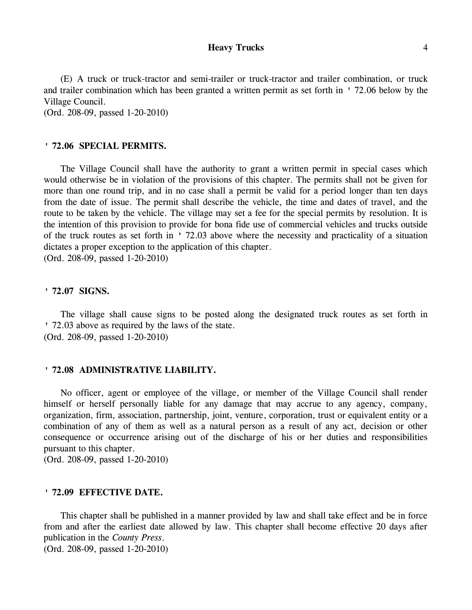(E) A truck or truck-tractor and semi-trailer or truck-tractor and trailer combination, or truck and trailer combination which has been granted a written permit as set forth in ' 72.06 below by the Village Council.

(Ord. 208-09, passed 1-20-2010)

# **' 72.06 SPECIAL PERMITS.**

The Village Council shall have the authority to grant a written permit in special cases which would otherwise be in violation of the provisions of this chapter. The permits shall not be given for more than one round trip, and in no case shall a permit be valid for a period longer than ten days from the date of issue. The permit shall describe the vehicle, the time and dates of travel, and the route to be taken by the vehicle. The village may set a fee for the special permits by resolution. It is the intention of this provision to provide for bona fide use of commercial vehicles and trucks outside of the truck routes as set forth in ' 72.03 above where the necessity and practicality of a situation dictates a proper exception to the application of this chapter.

(Ord. 208-09, passed 1-20-2010)

## **' 72.07 SIGNS.**

The village shall cause signs to be posted along the designated truck routes as set forth in ' 72.03 above as required by the laws of the state. (Ord. 208-09, passed 1-20-2010)

## **' 72.08 ADMINISTRATIVE LIABILITY.**

No officer, agent or employee of the village, or member of the Village Council shall render himself or herself personally liable for any damage that may accrue to any agency, company, organization, firm, association, partnership, joint, venture, corporation, trust or equivalent entity or a combination of any of them as well as a natural person as a result of any act, decision or other consequence or occurrence arising out of the discharge of his or her duties and responsibilities pursuant to this chapter.

(Ord. 208-09, passed 1-20-2010)

# **' 72.09 EFFECTIVE DATE.**

This chapter shall be published in a manner provided by law and shall take effect and be in force from and after the earliest date allowed by law. This chapter shall become effective 20 days after publication in the *County Press*.

(Ord. 208-09, passed 1-20-2010)